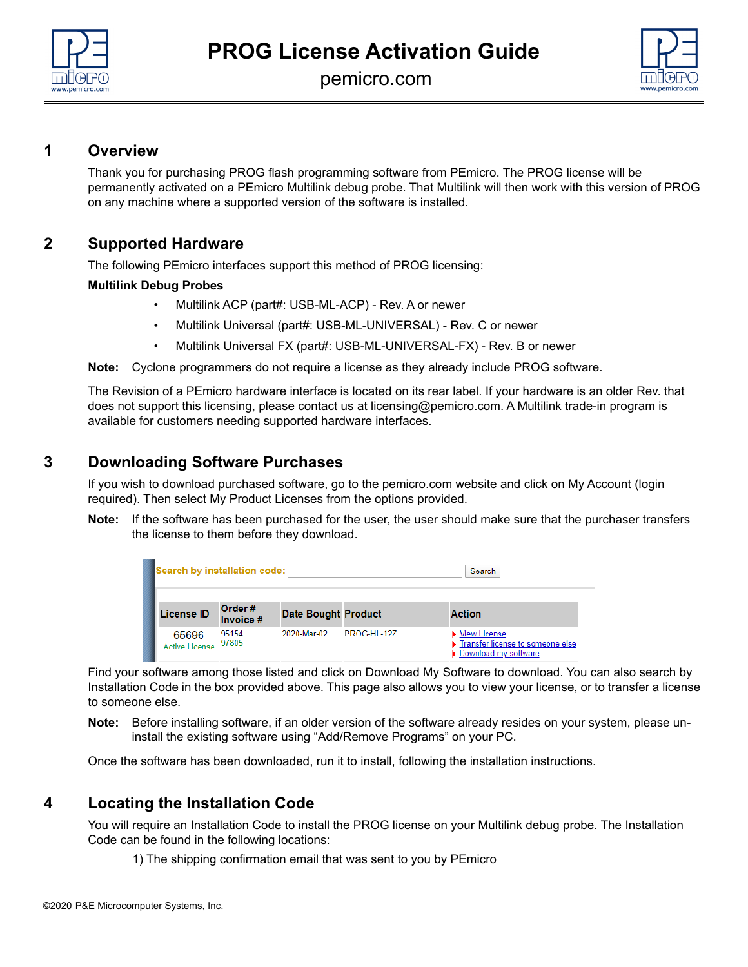

pemicro.com



# **1 Overview**

Thank you for purchasing PROG flash programming software from PEmicro. The PROG license will be permanently activated on a PEmicro Multilink debug probe. That Multilink will then work with this version of PROG on any machine where a supported version of the software is installed.

# **2 Supported Hardware**

The following PEmicro interfaces support this method of PROG licensing:

### **Multilink Debug Probes**

- Multilink ACP (part#: USB-ML-ACP) Rev. A or newer
- Multilink Universal (part#: USB-ML-UNIVERSAL) Rev. C or newer
- Multilink Universal FX (part#: USB-ML-UNIVERSAL-FX) Rev. B or newer

**Note:** Cyclone programmers do not require a license as they already include PROG software.

The Revision of a PEmicro hardware interface is located on its rear label. If your hardware is an older Rev. that does not support this licensing, please contact us at licensing@pemicro.com. A Multilink trade-in program is available for customers needing supported hardware interfaces.

# **3 Downloading Software Purchases**

If you wish to download purchased software, go to the pemicro.com website and click on My Account (login required). Then select My Product Licenses from the options provided.

**Note:** If the software has been purchased for the user, the user should make sure that the purchaser transfers the license to them before they download.

| Search by installation code:   |                     |                            |             | Search                                                                       |
|--------------------------------|---------------------|----------------------------|-------------|------------------------------------------------------------------------------|
| <b>License ID</b>              | Order#<br>Invoice # | <b>Date Bought Product</b> |             | <b>Action</b>                                                                |
| 65696<br><b>Active License</b> | 95154<br>97805      | 2020-Mar-02                | PROG-HL-12Z | ▶ View License<br>Transfer license to someone else<br>▶ Download my software |

Find your software among those listed and click on Download My Software to download. You can also search by Installation Code in the box provided above. This page also allows you to view your license, or to transfer a license to someone else.

**Note:** Before installing software, if an older version of the software already resides on your system, please uninstall the existing software using "Add/Remove Programs" on your PC.

Once the software has been downloaded, run it to install, following the installation instructions.

# **4 Locating the Installation Code**

You will require an Installation Code to install the PROG license on your Multilink debug probe. The Installation Code can be found in the following locations:

1) The shipping confirmation email that was sent to you by PEmicro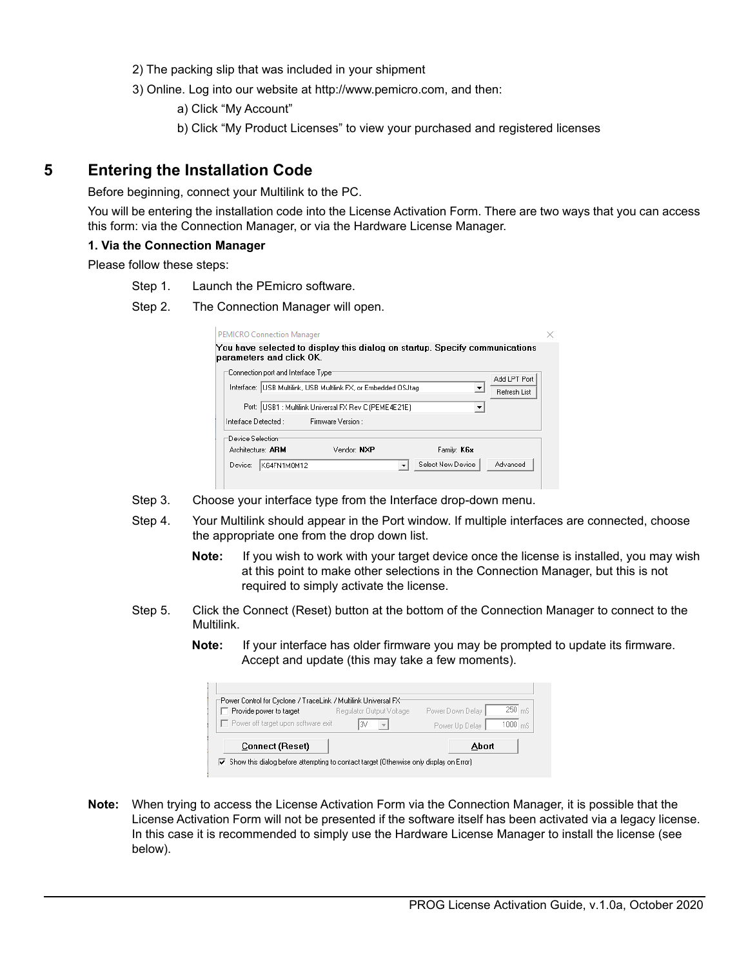- 2) The packing slip that was included in your shipment
- 3) Online. Log into our website at http://www.pemicro.com, and then:

a) Click "My Account"

b) Click "My Product Licenses" to view your purchased and registered licenses

### **5 Entering the Installation Code**

Before beginning, connect your Multilink to the PC.

You will be entering the installation code into the License Activation Form. There are two ways that you can access this form: via the Connection Manager, or via the Hardware License Manager.

#### **1. Via the Connection Manager**

Please follow these steps:

- Step 1. Launch the PEmicro software.
- Step 2. The Connection Manager will open.

| parameters and click OK.               |                                                                              | You have selected to display this dialog on startup. Specify communications |                              |
|----------------------------------------|------------------------------------------------------------------------------|-----------------------------------------------------------------------------|------------------------------|
| Connection port and Interface Type:    | Interface: USB Multilink, USB Multilink FX, or Embedded OSJtag               |                                                                             | Add LPT Port<br>Refresh List |
| Interface Detected:                    | Port:  USB1 : Multilink Universal FX Rev C (PEME4E21E)<br>Firmware Version : |                                                                             |                              |
| Device Selection:<br>Architecture: ARM | Vendor: NXP                                                                  | Family: K6x                                                                 |                              |
| Device:<br>K64FN1M0M12                 |                                                                              | Select New Device                                                           | Advanced                     |

- Step 3. Choose your interface type from the Interface drop-down menu.
- Step 4. Your Multilink should appear in the Port window. If multiple interfaces are connected, choose the appropriate one from the drop down list.
	- **Note:** If you wish to work with your target device once the license is installed, you may wish at this point to make other selections in the Connection Manager, but this is not required to simply activate the license.
- Step 5. Click the Connect (Reset) button at the bottom of the Connection Manager to connect to the Multilink.
	- **Note:** If your interface has older firmware you may be prompted to update its firmware. Accept and update (this may take a few moments).

| "Power Control for Cyclone / TraceLink / Multilink Universal FX"<br>Provide power to target | Regulator Output Voltage | Power Down Delay | $250$ <sub>mS</sub> |
|---------------------------------------------------------------------------------------------|--------------------------|------------------|---------------------|
| Power off target upon software exit                                                         |                          | Power Up Delay   | $1000 \, \text{ms}$ |
| <b>Connect (Reset)</b>                                                                      |                          | Abort            |                     |

**Note:** When trying to access the License Activation Form via the Connection Manager, it is possible that the License Activation Form will not be presented if the software itself has been activated via a legacy license. In this case it is recommended to simply use the Hardware License Manager to install the license (see below).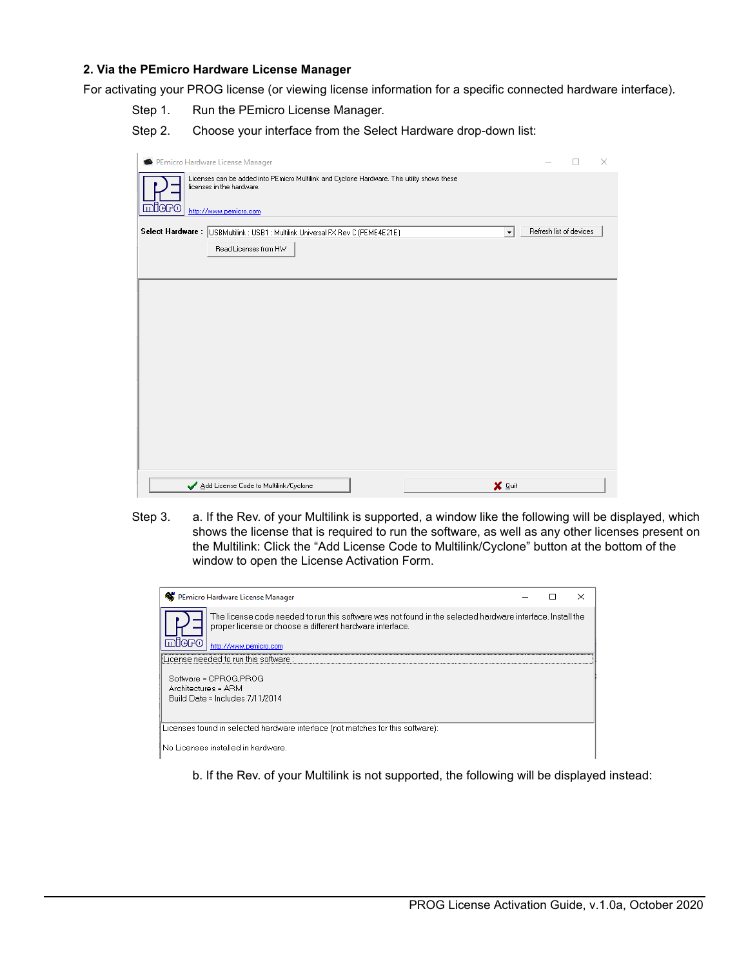#### **2. Via the PEmicro Hardware License Manager**

For activating your PROG license (or viewing license information for a specific connected hardware interface).

Step 1. Run the PEmicro License Manager.

Step 2. Choose your interface from the Select Hardware drop-down list:

|       | PEmicro Hardware License Manager                                                                                                                   |                     |                         | $\times$ |
|-------|----------------------------------------------------------------------------------------------------------------------------------------------------|---------------------|-------------------------|----------|
| miero | Licenses can be added into PEmicro Multilink and Cyclone Hardware. This utility shows these<br>licenses in the hardware.<br>http://www.pemicro.com |                     |                         |          |
|       | Select Hardware: USBMultilink: USB1: Multilink Universal FX Rev C (PEME4E21E)<br>Read Licenses from HW                                             | $\vert \cdot \vert$ | Refresh list of devices |          |
|       |                                                                                                                                                    |                     |                         |          |
|       |                                                                                                                                                    |                     |                         |          |
|       |                                                                                                                                                    |                     |                         |          |
|       |                                                                                                                                                    |                     |                         |          |
|       |                                                                                                                                                    |                     |                         |          |
|       | Add License Code to Multilink/Cyclone                                                                                                              | X Quit              |                         |          |

Step 3. a. If the Rev. of your Multilink is supported, a window like the following will be displayed, which shows the license that is required to run the software, as well as any other licenses present on the Multilink: Click the "Add License Code to Multilink/Cyclone" button at the bottom of the window to open the License Activation Form.

| PEmicro Hardware License Manager                                                                                                                                                                        |  |  |  |
|---------------------------------------------------------------------------------------------------------------------------------------------------------------------------------------------------------|--|--|--|
| The license code needed to run this software was not found in the selected hardware interface. Install the<br>proper license or choose a different hardware interface.<br>ARM<br>http://www.pemicro.com |  |  |  |
| License needed to run this software :                                                                                                                                                                   |  |  |  |
| Software = CPROG.PROG<br>Architectures = ARM<br>Build Date = Includes 7/11/2014                                                                                                                         |  |  |  |
| Licenses found in selected hardware interface (not matches for this software):                                                                                                                          |  |  |  |
| INo Licenses installed in hardware                                                                                                                                                                      |  |  |  |

b. If the Rev. of your Multilink is not supported, the following will be displayed instead: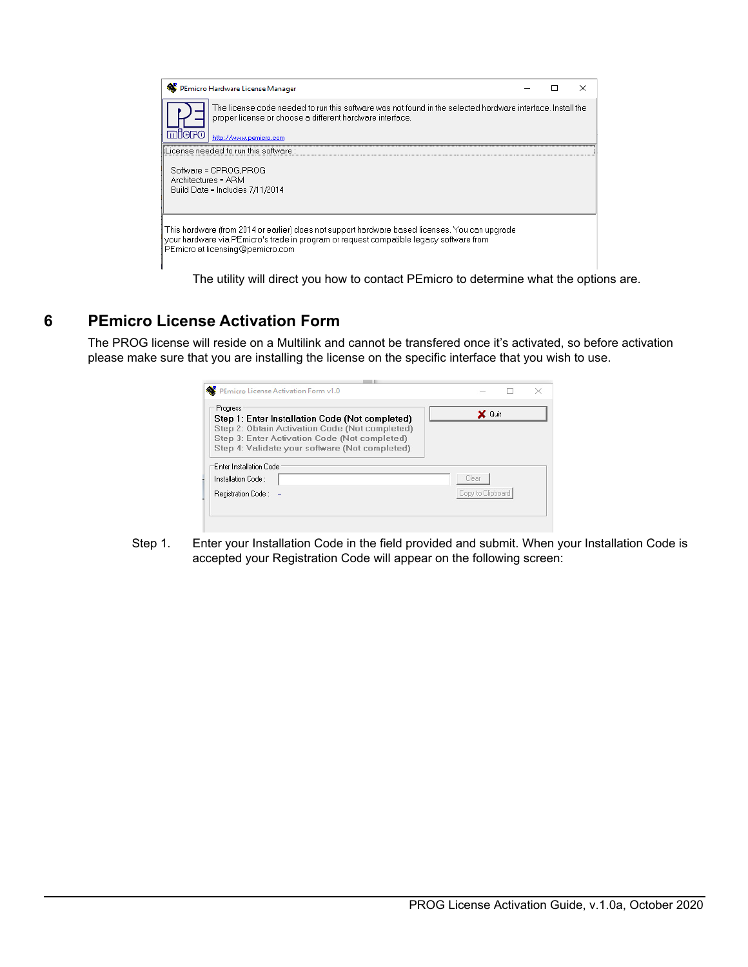| PEmicro Hardware License Manager                                                                                                                                                                                              |  |  |
|-------------------------------------------------------------------------------------------------------------------------------------------------------------------------------------------------------------------------------|--|--|
| The license code needed to run this software was not found in the selected hardware interface. Install the<br>proper license or choose a different hardware interface.<br>http://www.pemicro.com                              |  |  |
| License needed to run this software ::                                                                                                                                                                                        |  |  |
| Software = CPROG.PROG<br>Architectures = ARM<br>Build Date = Includes 7/11/2014                                                                                                                                               |  |  |
| This hardware (from 2014 or earlier) does not support hardware based licenses. You can upgrade<br>your hardware via PEmicro's trade in program or request compatible legacy software from<br>PEmicro at licensing@pemicro.com |  |  |

The utility will direct you how to contact PEmicro to determine what the options are.

# **6 PEmicro License Activation Form**

The PROG license will reside on a Multilink and cannot be transfered once it's activated, so before activation please make sure that you are installing the license on the specific interface that you wish to use.

| Progress                                                                                          | X Quit            |
|---------------------------------------------------------------------------------------------------|-------------------|
| Step 1: Enter Installation Code (Not completed)<br>Step 2: Obtain Activation Code (Not completed) |                   |
| Step 3: Enter Activation Code (Not completed)                                                     |                   |
| Step 4: Validate your software (Not completed)                                                    |                   |
|                                                                                                   |                   |
|                                                                                                   |                   |
|                                                                                                   |                   |
|                                                                                                   | Clear             |
| Enter Installation Code<br>Installation Code:<br>Registration Code:                               | Copy to Clipboard |

Step 1. Enter your Installation Code in the field provided and submit. When your Installation Code is accepted your Registration Code will appear on the following screen: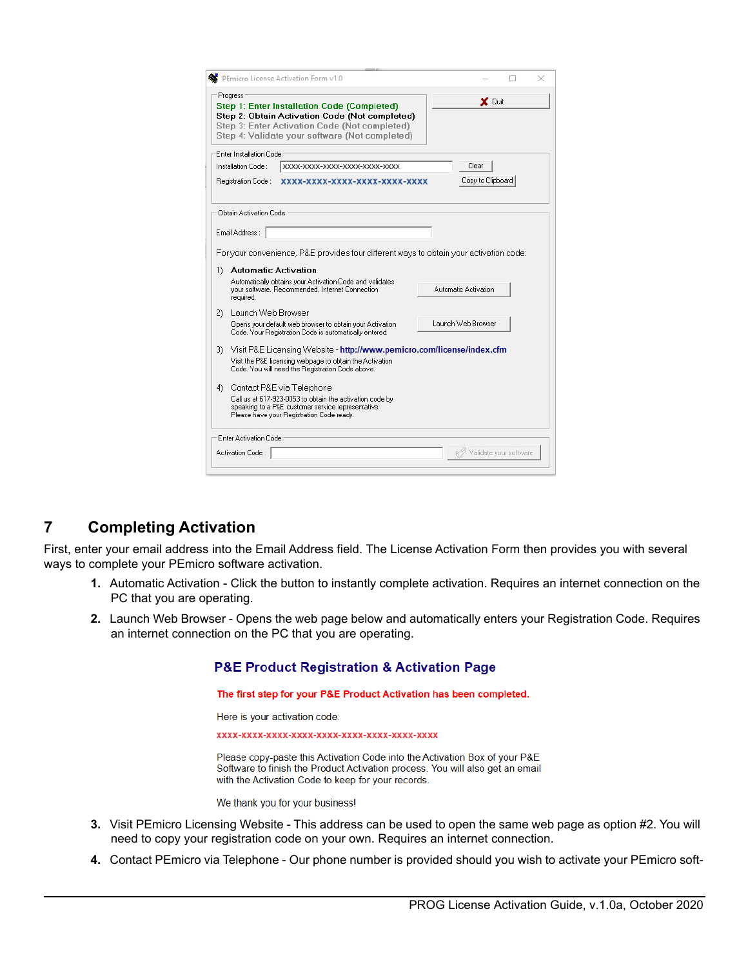| PEmicro License Activation Form v1.0                                                                                                                                                                         |                        |
|--------------------------------------------------------------------------------------------------------------------------------------------------------------------------------------------------------------|------------------------|
| Progress<br>Step 1: Enter Installation Code (Completed)<br>Step 2: Obtain Activation Code (Not completed)<br>Step 3: Enter Activation Code (Not completed)<br>Step 4: Validate your software (Not completed) | X Quit                 |
| Enter Installation Code:                                                                                                                                                                                     |                        |
| Installation Code :<br>XXXX-XXXX-XXXX-XXXX-XXXX-XXXX                                                                                                                                                         | Clear                  |
| Registration Code :<br>XXXX-XXXX-XXXX-XXXX-XXXX-XXXX                                                                                                                                                         | Copy to Clipboard      |
| Obtain Activation Code<br>Email Address:                                                                                                                                                                     |                        |
| For your convenience, P&E provides four different ways to obtain your activation code:                                                                                                                       |                        |
| <b>Automatic Activation</b><br>1)                                                                                                                                                                            |                        |
| Automatically obtains your Activation Code and validates<br>your software. Recommended, Internet Connection.<br>required.                                                                                    | Automatic Activation   |
| 2)<br>Launch Web Browser                                                                                                                                                                                     |                        |
| Opens your default web browser to obtain your Activation<br>Code. Your Registration Code is automatically entered.                                                                                           | Launch Web Browser     |
| Visit P&E Licensing Website - http://www.pemicro.com/license/index.cfm<br>3)                                                                                                                                 |                        |
| Visit the P&E licensing webpage to obtain the Activation<br>Code. You will need the Registration Code above.                                                                                                 |                        |
| Contact P&E via Telephone<br>4).                                                                                                                                                                             |                        |
| Call us at 617-923-0053 to obtain the activation code by<br>speaking to a P&E customer service representative.<br>Please have your Registration Code ready.                                                  |                        |
| Enter Activation Code                                                                                                                                                                                        |                        |
| Activation Code:                                                                                                                                                                                             | Validate your software |
|                                                                                                                                                                                                              |                        |

# **7 Completing Activation**

First, enter your email address into the Email Address field. The License Activation Form then provides you with several ways to complete your PEmicro software activation.

- **1.** Automatic Activation Click the button to instantly complete activation. Requires an internet connection on the PC that you are operating.
- **2.** Launch Web Browser Opens the web page below and automatically enters your Registration Code. Requires an internet connection on the PC that you are operating.

**P&E Product Registration & Activation Page** 

The first step for your P&E Product Activation has been completed.

Here is your activation code:

Please copy-paste this Activation Code into the Activation Box of your P&E Software to finish the Product Activation process. You will also get an email with the Activation Code to keep for your records.

We thank you for your business!

- **3.** Visit PEmicro Licensing Website This address can be used to open the same web page as option #2. You will need to copy your registration code on your own. Requires an internet connection.
- **4.** Contact PEmicro via Telephone Our phone number is provided should you wish to activate your PEmicro soft-